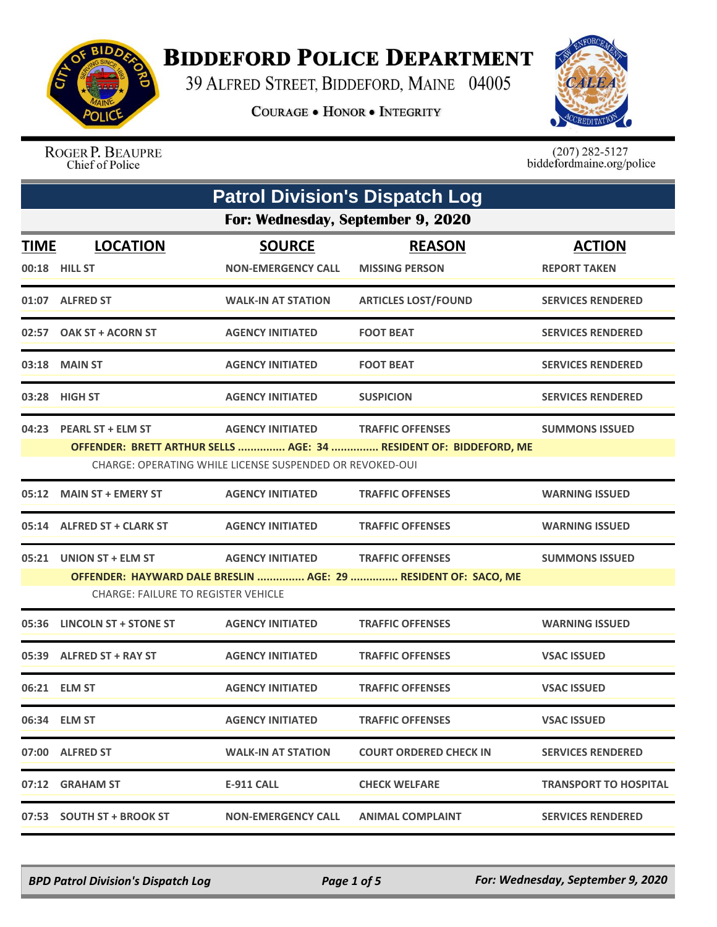

## **BIDDEFORD POLICE DEPARTMENT**

39 ALFRED STREET, BIDDEFORD, MAINE 04005

**COURAGE . HONOR . INTEGRITY** 



ROGER P. BEAUPRE Chief of Police

 $(207)$  282-5127<br>biddefordmaine.org/police

| <b>Patrol Division's Dispatch Log</b> |                                                                       |                                                                                     |                                                                                              |                                      |  |  |
|---------------------------------------|-----------------------------------------------------------------------|-------------------------------------------------------------------------------------|----------------------------------------------------------------------------------------------|--------------------------------------|--|--|
|                                       | For: Wednesday, September 9, 2020                                     |                                                                                     |                                                                                              |                                      |  |  |
| <b>TIME</b>                           | <b>LOCATION</b><br>00:18 HILL ST                                      | <b>SOURCE</b><br><b>NON-EMERGENCY CALL</b>                                          | <b>REASON</b><br><b>MISSING PERSON</b>                                                       | <b>ACTION</b><br><b>REPORT TAKEN</b> |  |  |
|                                       | 01:07 ALFRED ST                                                       | <b>WALK-IN AT STATION</b>                                                           | <b>ARTICLES LOST/FOUND</b>                                                                   | <b>SERVICES RENDERED</b>             |  |  |
|                                       | 02:57 OAK ST + ACORN ST                                               | <b>AGENCY INITIATED</b>                                                             | <b>FOOT BEAT</b>                                                                             | <b>SERVICES RENDERED</b>             |  |  |
|                                       | 03:18 MAIN ST                                                         | <b>AGENCY INITIATED</b>                                                             | <b>FOOT BEAT</b>                                                                             | <b>SERVICES RENDERED</b>             |  |  |
|                                       | 03:28 HIGH ST                                                         | <b>AGENCY INITIATED</b>                                                             | <b>SUSPICION</b>                                                                             | <b>SERVICES RENDERED</b>             |  |  |
|                                       | 04:23 PEARL ST + ELM ST                                               | <b>AGENCY INITIATED</b><br>CHARGE: OPERATING WHILE LICENSE SUSPENDED OR REVOKED-OUI | <b>TRAFFIC OFFENSES</b><br>OFFENDER: BRETT ARTHUR SELLS  AGE: 34  RESIDENT OF: BIDDEFORD, ME | <b>SUMMONS ISSUED</b>                |  |  |
| 05:12                                 | <b>MAIN ST + EMERY ST</b>                                             | <b>AGENCY INITIATED</b>                                                             | <b>TRAFFIC OFFENSES</b>                                                                      | <b>WARNING ISSUED</b>                |  |  |
|                                       | 05:14 ALFRED ST + CLARK ST                                            | <b>AGENCY INITIATED</b>                                                             | <b>TRAFFIC OFFENSES</b>                                                                      | <b>WARNING ISSUED</b>                |  |  |
|                                       | 05:21 UNION ST + ELM ST<br><b>CHARGE: FAILURE TO REGISTER VEHICLE</b> | <b>AGENCY INITIATED</b>                                                             | <b>TRAFFIC OFFENSES</b><br>OFFENDER: HAYWARD DALE BRESLIN  AGE: 29  RESIDENT OF: SACO, ME    | <b>SUMMONS ISSUED</b>                |  |  |
| 05:36                                 | LINCOLN ST + STONE ST                                                 | <b>AGENCY INITIATED</b>                                                             | <b>TRAFFIC OFFENSES</b>                                                                      | <b>WARNING ISSUED</b>                |  |  |
|                                       | 05:39 ALFRED ST + RAY ST                                              | <b>AGENCY INITIATED</b>                                                             | <b>TRAFFIC OFFENSES</b>                                                                      | <b>VSAC ISSUED</b>                   |  |  |
|                                       | 06:21 ELM ST                                                          | <b>AGENCY INITIATED</b>                                                             | <b>TRAFFIC OFFENSES</b>                                                                      | <b>VSAC ISSUED</b>                   |  |  |
|                                       | 06:34 ELM ST                                                          | <b>AGENCY INITIATED</b>                                                             | <b>TRAFFIC OFFENSES</b>                                                                      | <b>VSAC ISSUED</b>                   |  |  |
|                                       | 07:00 ALFRED ST                                                       | <b>WALK-IN AT STATION</b>                                                           | <b>COURT ORDERED CHECK IN</b>                                                                | <b>SERVICES RENDERED</b>             |  |  |
|                                       | 07:12 GRAHAM ST                                                       | E-911 CALL                                                                          | <b>CHECK WELFARE</b>                                                                         | <b>TRANSPORT TO HOSPITAL</b>         |  |  |
|                                       | 07:53 SOUTH ST + BROOK ST                                             | <b>NON-EMERGENCY CALL</b>                                                           | <b>ANIMAL COMPLAINT</b>                                                                      | <b>SERVICES RENDERED</b>             |  |  |

*BPD Patrol Division's Dispatch Log Page 1 of 5 For: Wednesday, September 9, 2020*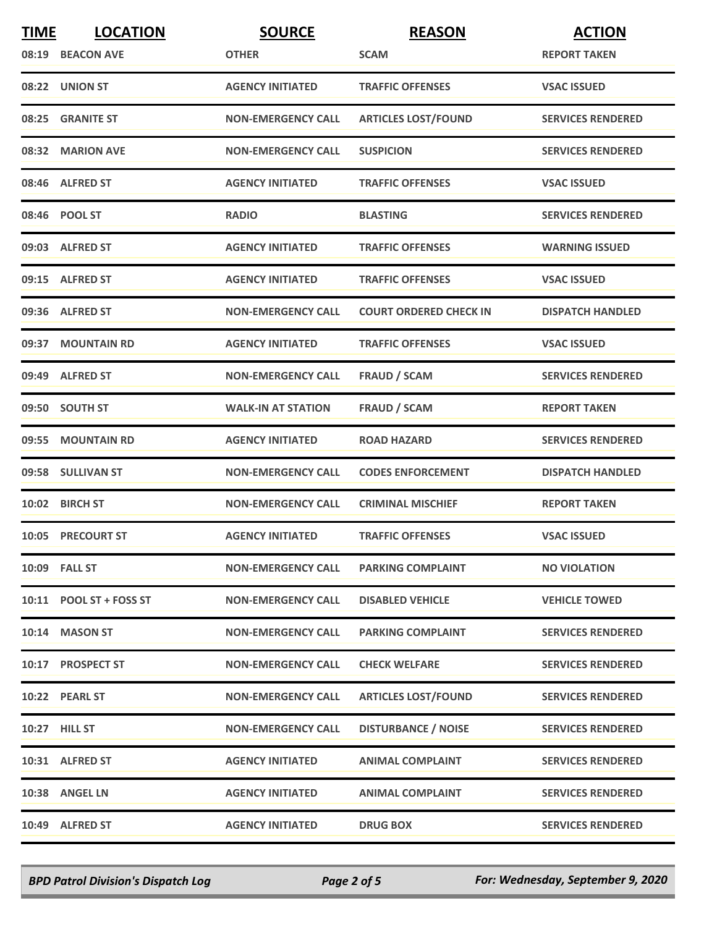| <b>TIME</b> | <b>LOCATION</b>         | <b>SOURCE</b>             | <b>REASON</b>                 | <b>ACTION</b>            |
|-------------|-------------------------|---------------------------|-------------------------------|--------------------------|
|             | 08:19 BEACON AVE        | <b>OTHER</b>              | <b>SCAM</b>                   | <b>REPORT TAKEN</b>      |
|             | 08:22 UNION ST          | <b>AGENCY INITIATED</b>   | <b>TRAFFIC OFFENSES</b>       | <b>VSAC ISSUED</b>       |
|             | 08:25 GRANITE ST        | <b>NON-EMERGENCY CALL</b> | <b>ARTICLES LOST/FOUND</b>    | <b>SERVICES RENDERED</b> |
|             | 08:32 MARION AVE        | <b>NON-EMERGENCY CALL</b> | <b>SUSPICION</b>              | <b>SERVICES RENDERED</b> |
|             | 08:46 ALFRED ST         | <b>AGENCY INITIATED</b>   | <b>TRAFFIC OFFENSES</b>       | <b>VSAC ISSUED</b>       |
|             | 08:46 POOL ST           | <b>RADIO</b>              | <b>BLASTING</b>               | <b>SERVICES RENDERED</b> |
|             | 09:03 ALFRED ST         | <b>AGENCY INITIATED</b>   | <b>TRAFFIC OFFENSES</b>       | <b>WARNING ISSUED</b>    |
|             | 09:15 ALFRED ST         | <b>AGENCY INITIATED</b>   | <b>TRAFFIC OFFENSES</b>       | <b>VSAC ISSUED</b>       |
|             | 09:36 ALFRED ST         | <b>NON-EMERGENCY CALL</b> | <b>COURT ORDERED CHECK IN</b> | <b>DISPATCH HANDLED</b>  |
|             | 09:37 MOUNTAIN RD       | <b>AGENCY INITIATED</b>   | <b>TRAFFIC OFFENSES</b>       | <b>VSAC ISSUED</b>       |
|             | 09:49 ALFRED ST         | <b>NON-EMERGENCY CALL</b> | <b>FRAUD / SCAM</b>           | <b>SERVICES RENDERED</b> |
|             | 09:50 SOUTH ST          | <b>WALK-IN AT STATION</b> | <b>FRAUD / SCAM</b>           | <b>REPORT TAKEN</b>      |
|             | 09:55 MOUNTAIN RD       | <b>AGENCY INITIATED</b>   | <b>ROAD HAZARD</b>            | <b>SERVICES RENDERED</b> |
|             | 09:58 SULLIVAN ST       | <b>NON-EMERGENCY CALL</b> | <b>CODES ENFORCEMENT</b>      | <b>DISPATCH HANDLED</b>  |
|             | 10:02 BIRCH ST          | <b>NON-EMERGENCY CALL</b> | <b>CRIMINAL MISCHIEF</b>      | <b>REPORT TAKEN</b>      |
|             | 10:05 PRECOURT ST       | <b>AGENCY INITIATED</b>   | <b>TRAFFIC OFFENSES</b>       | <b>VSAC ISSUED</b>       |
|             | 10:09 FALL ST           | <b>NON-EMERGENCY CALL</b> | <b>PARKING COMPLAINT</b>      | <b>NO VIOLATION</b>      |
|             | 10:11 POOL ST + FOSS ST | <b>NON-EMERGENCY CALL</b> | <b>DISABLED VEHICLE</b>       | <b>VEHICLE TOWED</b>     |
|             | 10:14 MASON ST          | <b>NON-EMERGENCY CALL</b> | <b>PARKING COMPLAINT</b>      | <b>SERVICES RENDERED</b> |
|             | 10:17 PROSPECT ST       | <b>NON-EMERGENCY CALL</b> | <b>CHECK WELFARE</b>          | <b>SERVICES RENDERED</b> |
|             | 10:22 PEARL ST          | <b>NON-EMERGENCY CALL</b> | <b>ARTICLES LOST/FOUND</b>    | <b>SERVICES RENDERED</b> |
|             | 10:27 HILL ST           | <b>NON-EMERGENCY CALL</b> | <b>DISTURBANCE / NOISE</b>    | <b>SERVICES RENDERED</b> |
|             | 10:31 ALFRED ST         | <b>AGENCY INITIATED</b>   | <b>ANIMAL COMPLAINT</b>       | <b>SERVICES RENDERED</b> |
|             | 10:38 ANGEL LN          | <b>AGENCY INITIATED</b>   | <b>ANIMAL COMPLAINT</b>       | <b>SERVICES RENDERED</b> |
|             | 10:49 ALFRED ST         | <b>AGENCY INITIATED</b>   | <b>DRUG BOX</b>               | <b>SERVICES RENDERED</b> |

*BPD Patrol Division's Dispatch Log Page 2 of 5 For: Wednesday, September 9, 2020*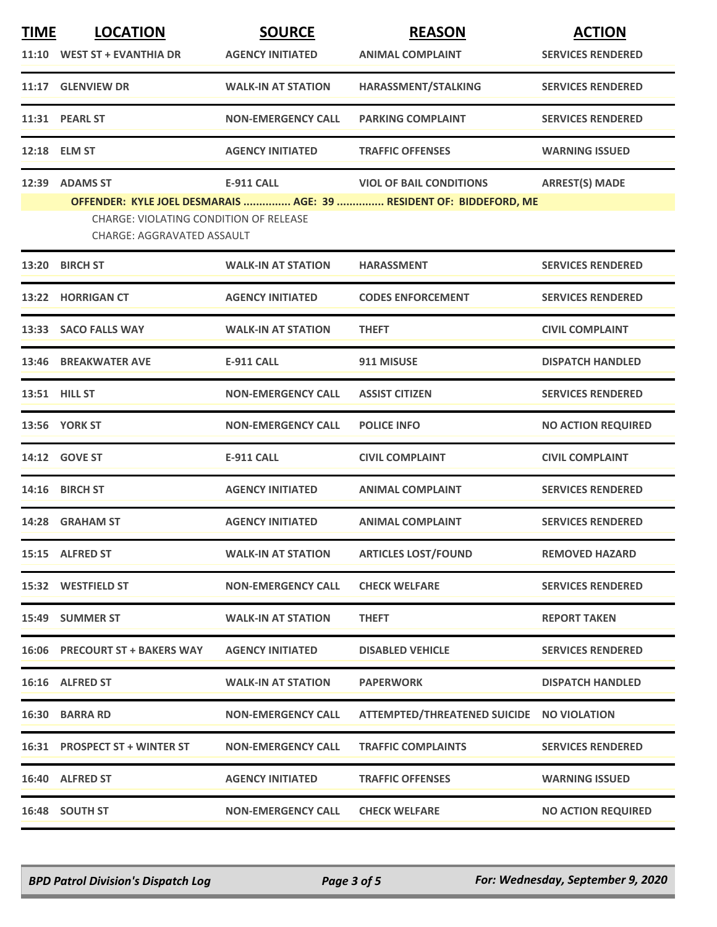| <b>TIME</b> | <b>LOCATION</b>                                                      | <b>SOURCE</b>             | <b>REASON</b>                                                      | <b>ACTION</b>             |
|-------------|----------------------------------------------------------------------|---------------------------|--------------------------------------------------------------------|---------------------------|
|             | 11:10 WEST ST + EVANTHIA DR                                          | <b>AGENCY INITIATED</b>   | <b>ANIMAL COMPLAINT</b>                                            | <b>SERVICES RENDERED</b>  |
|             | 11:17 GLENVIEW DR                                                    | <b>WALK-IN AT STATION</b> | HARASSMENT/STALKING                                                | <b>SERVICES RENDERED</b>  |
|             | 11:31 PEARL ST                                                       | <b>NON-EMERGENCY CALL</b> | <b>PARKING COMPLAINT</b>                                           | <b>SERVICES RENDERED</b>  |
|             | 12:18 ELM ST                                                         | <b>AGENCY INITIATED</b>   | <b>TRAFFIC OFFENSES</b>                                            | <b>WARNING ISSUED</b>     |
|             | 12:39 ADAMS ST                                                       | <b>E-911 CALL</b>         | <b>VIOL OF BAIL CONDITIONS</b>                                     | <b>ARREST(S) MADE</b>     |
|             | CHARGE: VIOLATING CONDITION OF RELEASE<br>CHARGE: AGGRAVATED ASSAULT |                           | OFFENDER: KYLE JOEL DESMARAIS  AGE: 39  RESIDENT OF: BIDDEFORD, ME |                           |
|             | 13:20 BIRCH ST                                                       | <b>WALK-IN AT STATION</b> | <b>HARASSMENT</b>                                                  | <b>SERVICES RENDERED</b>  |
|             | 13:22 HORRIGAN CT                                                    | <b>AGENCY INITIATED</b>   | <b>CODES ENFORCEMENT</b>                                           | <b>SERVICES RENDERED</b>  |
|             | 13:33 SACO FALLS WAY                                                 | <b>WALK-IN AT STATION</b> | <b>THEFT</b>                                                       | <b>CIVIL COMPLAINT</b>    |
|             | 13:46 BREAKWATER AVE                                                 | E-911 CALL                | 911 MISUSE                                                         | <b>DISPATCH HANDLED</b>   |
|             | 13:51 HILL ST                                                        | <b>NON-EMERGENCY CALL</b> | <b>ASSIST CITIZEN</b>                                              | <b>SERVICES RENDERED</b>  |
|             | <b>13:56 YORK ST</b>                                                 | <b>NON-EMERGENCY CALL</b> | <b>POLICE INFO</b>                                                 | <b>NO ACTION REQUIRED</b> |
|             | 14:12 GOVE ST                                                        | <b>E-911 CALL</b>         | <b>CIVIL COMPLAINT</b>                                             | <b>CIVIL COMPLAINT</b>    |
|             | 14:16 BIRCH ST                                                       | <b>AGENCY INITIATED</b>   | <b>ANIMAL COMPLAINT</b>                                            | <b>SERVICES RENDERED</b>  |
|             | 14:28 GRAHAM ST                                                      | <b>AGENCY INITIATED</b>   | <b>ANIMAL COMPLAINT</b>                                            | <b>SERVICES RENDERED</b>  |
|             | 15:15 ALFRED ST                                                      | <b>WALK-IN AT STATION</b> | <b>ARTICLES LOST/FOUND</b>                                         | <b>REMOVED HAZARD</b>     |
|             | 15:32 WESTFIELD ST                                                   | <b>NON-EMERGENCY CALL</b> | <b>CHECK WELFARE</b>                                               | <b>SERVICES RENDERED</b>  |
|             | 15:49 SUMMER ST                                                      | <b>WALK-IN AT STATION</b> | <b>THEFT</b>                                                       | <b>REPORT TAKEN</b>       |
|             | 16:06 PRECOURT ST + BAKERS WAY                                       | <b>AGENCY INITIATED</b>   | <b>DISABLED VEHICLE</b>                                            | <b>SERVICES RENDERED</b>  |
|             | 16:16 ALFRED ST                                                      | <b>WALK-IN AT STATION</b> | <b>PAPERWORK</b>                                                   | <b>DISPATCH HANDLED</b>   |
|             | 16:30 BARRA RD                                                       | <b>NON-EMERGENCY CALL</b> | ATTEMPTED/THREATENED SUICIDE NO VIOLATION                          |                           |
|             | 16:31 PROSPECT ST + WINTER ST                                        | <b>NON-EMERGENCY CALL</b> | <b>TRAFFIC COMPLAINTS</b>                                          | <b>SERVICES RENDERED</b>  |
|             | 16:40 ALFRED ST                                                      | <b>AGENCY INITIATED</b>   | <b>TRAFFIC OFFENSES</b>                                            | <b>WARNING ISSUED</b>     |
|             | 16:48 SOUTH ST                                                       | <b>NON-EMERGENCY CALL</b> | <b>CHECK WELFARE</b>                                               | <b>NO ACTION REQUIRED</b> |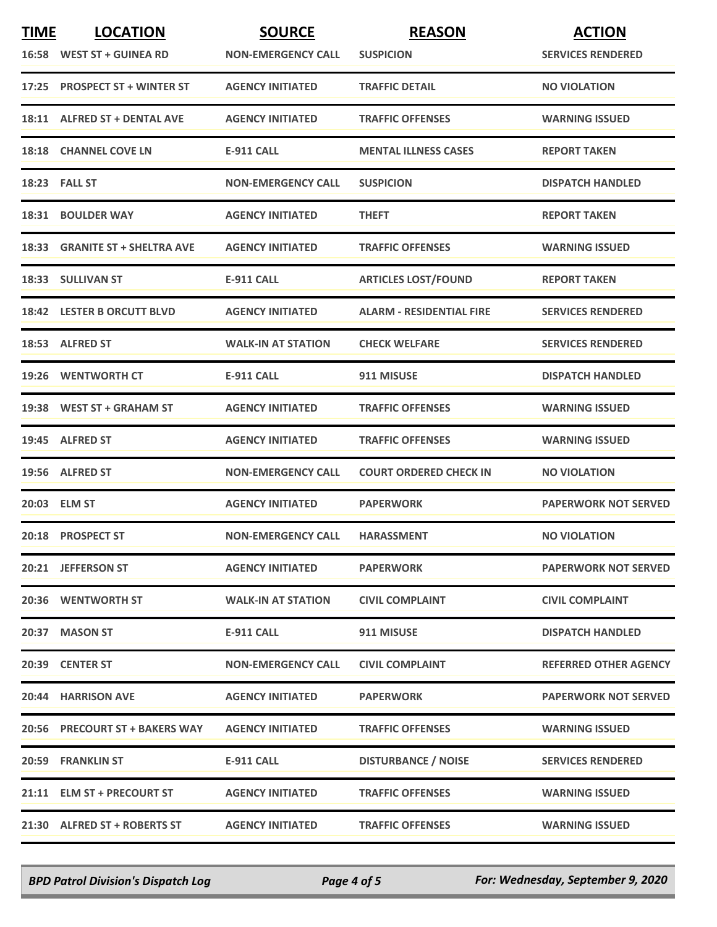| <b>TIME</b> | <b>LOCATION</b>                | <b>SOURCE</b>             | <b>REASON</b>                   | <b>ACTION</b>                |
|-------------|--------------------------------|---------------------------|---------------------------------|------------------------------|
|             | 16:58 WEST ST + GUINEA RD      | <b>NON-EMERGENCY CALL</b> | <b>SUSPICION</b>                | <b>SERVICES RENDERED</b>     |
|             | 17:25 PROSPECT ST + WINTER ST  | <b>AGENCY INITIATED</b>   | <b>TRAFFIC DETAIL</b>           | <b>NO VIOLATION</b>          |
|             | 18:11 ALFRED ST + DENTAL AVE   | <b>AGENCY INITIATED</b>   | <b>TRAFFIC OFFENSES</b>         | <b>WARNING ISSUED</b>        |
|             | 18:18 CHANNEL COVE LN          | <b>E-911 CALL</b>         | <b>MENTAL ILLNESS CASES</b>     | <b>REPORT TAKEN</b>          |
|             | <b>18:23 FALL ST</b>           | <b>NON-EMERGENCY CALL</b> | <b>SUSPICION</b>                | <b>DISPATCH HANDLED</b>      |
|             | 18:31 BOULDER WAY              | <b>AGENCY INITIATED</b>   | <b>THEFT</b>                    | <b>REPORT TAKEN</b>          |
|             | 18:33 GRANITE ST + SHELTRA AVE | <b>AGENCY INITIATED</b>   | <b>TRAFFIC OFFENSES</b>         | <b>WARNING ISSUED</b>        |
|             | 18:33 SULLIVAN ST              | <b>E-911 CALL</b>         | <b>ARTICLES LOST/FOUND</b>      | <b>REPORT TAKEN</b>          |
|             | 18:42 LESTER B ORCUTT BLVD     | <b>AGENCY INITIATED</b>   | <b>ALARM - RESIDENTIAL FIRE</b> | <b>SERVICES RENDERED</b>     |
|             | 18:53 ALFRED ST                | <b>WALK-IN AT STATION</b> | <b>CHECK WELFARE</b>            | <b>SERVICES RENDERED</b>     |
|             | 19:26 WENTWORTH CT             | <b>E-911 CALL</b>         | 911 MISUSE                      | <b>DISPATCH HANDLED</b>      |
|             | 19:38 WEST ST + GRAHAM ST      | <b>AGENCY INITIATED</b>   | <b>TRAFFIC OFFENSES</b>         | <b>WARNING ISSUED</b>        |
|             | 19:45 ALFRED ST                | <b>AGENCY INITIATED</b>   | <b>TRAFFIC OFFENSES</b>         | <b>WARNING ISSUED</b>        |
|             | 19:56 ALFRED ST                | <b>NON-EMERGENCY CALL</b> | <b>COURT ORDERED CHECK IN</b>   | <b>NO VIOLATION</b>          |
|             | 20:03 ELM ST                   | <b>AGENCY INITIATED</b>   | <b>PAPERWORK</b>                | <b>PAPERWORK NOT SERVED</b>  |
|             | 20:18 PROSPECT ST              | <b>NON-EMERGENCY CALL</b> | <b>HARASSMENT</b>               | <b>NO VIOLATION</b>          |
|             | 20:21 JEFFERSON ST             | <b>AGENCY INITIATED</b>   | <b>PAPERWORK</b>                | <b>PAPERWORK NOT SERVED</b>  |
|             | <b>20:36 WENTWORTH ST</b>      | <b>WALK-IN AT STATION</b> | <b>CIVIL COMPLAINT</b>          | <b>CIVIL COMPLAINT</b>       |
|             | 20:37 MASON ST                 | <b>E-911 CALL</b>         | 911 MISUSE                      | <b>DISPATCH HANDLED</b>      |
|             | 20:39 CENTER ST                | <b>NON-EMERGENCY CALL</b> | <b>CIVIL COMPLAINT</b>          | <b>REFERRED OTHER AGENCY</b> |
|             | 20:44 HARRISON AVE             | <b>AGENCY INITIATED</b>   | <b>PAPERWORK</b>                | <b>PAPERWORK NOT SERVED</b>  |
|             | 20:56 PRECOURT ST + BAKERS WAY | <b>AGENCY INITIATED</b>   | <b>TRAFFIC OFFENSES</b>         | <b>WARNING ISSUED</b>        |
|             | <b>20:59 FRANKLIN ST</b>       | E-911 CALL                | <b>DISTURBANCE / NOISE</b>      | <b>SERVICES RENDERED</b>     |
|             | 21:11 ELM ST + PRECOURT ST     | <b>AGENCY INITIATED</b>   | <b>TRAFFIC OFFENSES</b>         | <b>WARNING ISSUED</b>        |
|             | 21:30 ALFRED ST + ROBERTS ST   | <b>AGENCY INITIATED</b>   | <b>TRAFFIC OFFENSES</b>         | <b>WARNING ISSUED</b>        |

*BPD Patrol Division's Dispatch Log Page 4 of 5 For: Wednesday, September 9, 2020*